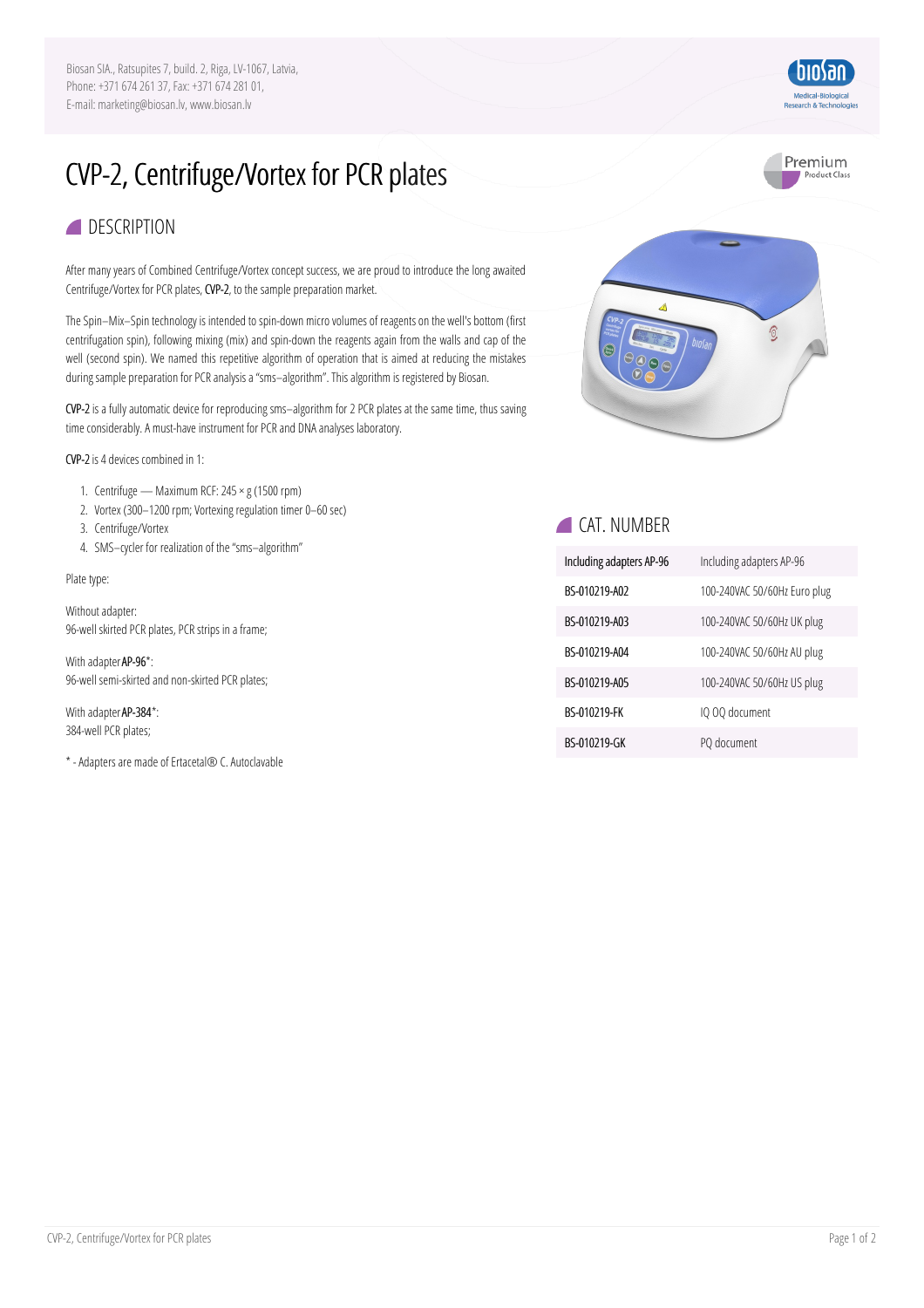Biosan SIA., Ratsupites 7, build. 2, Riga, LV-1067, Latvia, Phone: +371 674 261 37, Fax: +371 674 281 01, E-mail: marketing@biosan.lv, www.biosan.lv

## CVP-2, Centrifuge/Vortex for PCR plates

## **DESCRIPTION**

After many years of Combined Centrifuge/Vortex concept success, we are proud to introduce the long awaited Centrifuge/Vortex for PCR plates, CVP-2, to the sample preparation market.

The Spin–Mix–Spin technology is intended to spin-down micro volumes of reagents on the well's bottom (first centrifugation spin), following mixing (mix) and spin-down the reagents again from the walls and cap of the well (second spin). We named this repetitive algorithm of operation that is aimed at reducing the mistakes during sample preparation for PCR analysis a "sms-algorithm". This algorithm is registered by Biosan.

CVP-2is a fully automatic device for reproducing sms–algorithm for 2 PCR plates at the same time, thus saving time considerably. A must-have instrument for PCR and DNA analyses laboratory.

CVP-2is4 devices combined in 1:

- 1. Centrifuge Maximum RCF:  $245 \times g$  (1500 rpm)
- 2. Vortex (300-1200 rpm; Vortexing regulation timer 0-60 sec)
- 3. Centrifuge/Vortex
- 4. SMS–cycler for realization of the"sms–algorithm"

Plate type:

Without adapter: 96-well skirted PCR plates, PCR strips in a frame;

With adapter AP-96\*: 96-well semi-skirted and non-skirted PCR plates;

With adapter AP-384\*: 384-well PCR plates;

\* -Adaptersare made ofErtacetal® C.Autoclavable



 $\odot$ 



| Including adapters AP-96 | Including adapters AP-96     |
|--------------------------|------------------------------|
| BS-010219-A02            | 100-240VAC 50/60Hz Euro plug |
| BS-010219-A03            | 100-240VAC 50/60Hz UK plug   |
| BS-010219-A04            | 100-240VAC 50/60Hz AU plug   |
| BS-010219-A05            | 100-240VAC 50/60Hz US plug   |
| BS-010219-FK             | IQ 00 document               |
| BS-010219-GK             | PQ document                  |